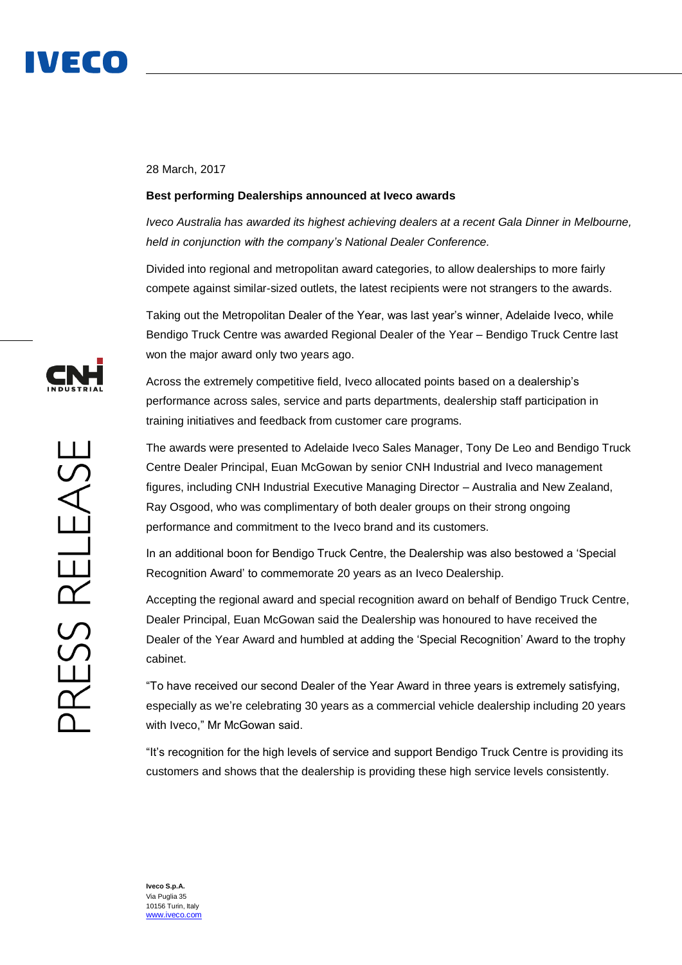

## 28 March, 2017

## **Best performing Dealerships announced at Iveco awards**

*Iveco Australia has awarded its highest achieving dealers at a recent Gala Dinner in Melbourne, held in conjunction with the company's National Dealer Conference.*

Divided into regional and metropolitan award categories, to allow dealerships to more fairly compete against similar-sized outlets, the latest recipients were not strangers to the awards.

Taking out the Metropolitan Dealer of the Year, was last year's winner, Adelaide Iveco, while Bendigo Truck Centre was awarded Regional Dealer of the Year – Bendigo Truck Centre last won the major award only two years ago.

Across the extremely competitive field, Iveco allocated points based on a dealership's performance across sales, service and parts departments, dealership staff participation in training initiatives and feedback from customer care programs.

The awards were presented to Adelaide Iveco Sales Manager, Tony De Leo and Bendigo Truck Centre Dealer Principal, Euan McGowan by senior CNH Industrial and Iveco management figures, including CNH Industrial Executive Managing Director – Australia and New Zealand, Ray Osgood, who was complimentary of both dealer groups on their strong ongoing performance and commitment to the Iveco brand and its customers.

In an additional boon for Bendigo Truck Centre, the Dealership was also bestowed a 'Special Recognition Award' to commemorate 20 years as an Iveco Dealership.

Accepting the regional award and special recognition award on behalf of Bendigo Truck Centre, Dealer Principal, Euan McGowan said the Dealership was honoured to have received the Dealer of the Year Award and humbled at adding the 'Special Recognition' Award to the trophy cabinet.

"To have received our second Dealer of the Year Award in three years is extremely satisfying, especially as we're celebrating 30 years as a commercial vehicle dealership including 20 years with Iveco," Mr McGowan said.

"It's recognition for the high levels of service and support Bendigo Truck Centre is providing its customers and shows that the dealership is providing these high service levels consistently.

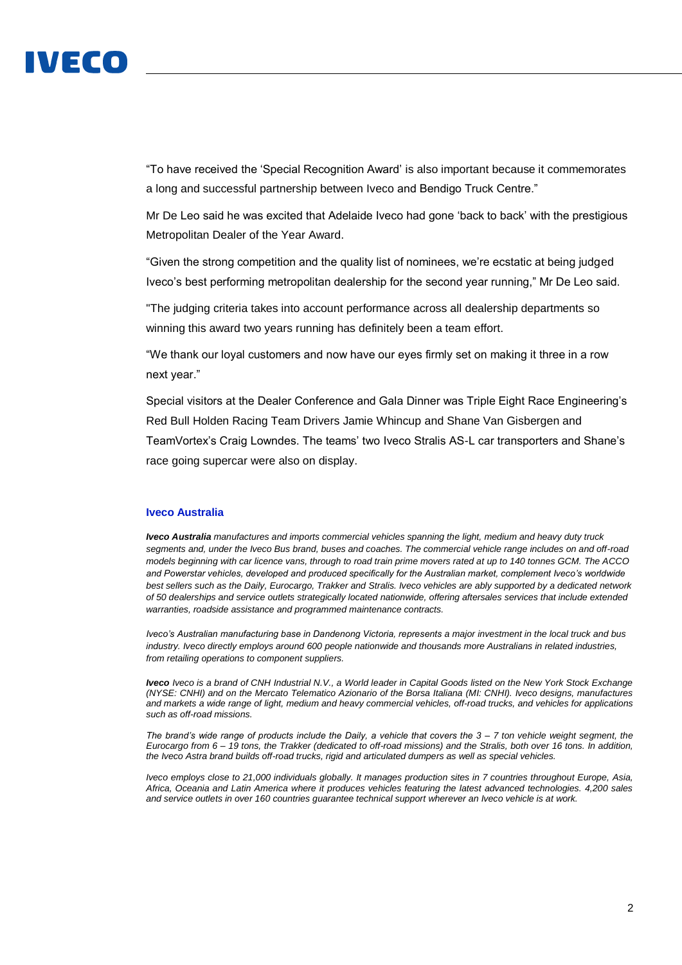

"To have received the 'Special Recognition Award' is also important because it commemorates a long and successful partnership between Iveco and Bendigo Truck Centre."

Mr De Leo said he was excited that Adelaide Iveco had gone 'back to back' with the prestigious Metropolitan Dealer of the Year Award.

"Given the strong competition and the quality list of nominees, we're ecstatic at being judged Iveco's best performing metropolitan dealership for the second year running," Mr De Leo said.

"The judging criteria takes into account performance across all dealership departments so winning this award two years running has definitely been a team effort.

"We thank our loyal customers and now have our eyes firmly set on making it three in a row next year."

Special visitors at the Dealer Conference and Gala Dinner was Triple Eight Race Engineering's Red Bull Holden Racing Team Drivers Jamie Whincup and Shane Van Gisbergen and TeamVortex's Craig Lowndes. The teams' two Iveco Stralis AS-L car transporters and Shane's race going supercar were also on display.

## **Iveco Australia**

*Iveco Australia manufactures and imports commercial vehicles spanning the light, medium and heavy duty truck segments and, under the Iveco Bus brand, buses and coaches. The commercial vehicle range includes on and off-road models beginning with car licence vans, through to road train prime movers rated at up to 140 tonnes GCM. The ACCO*  and Powerstar vehicles, developed and produced specifically for the Australian market, complement Iveco's worldwide *best sellers such as the Daily, Eurocargo, Trakker and Stralis. Iveco vehicles are ably supported by a dedicated network of 50 dealerships and service outlets strategically located nationwide, offering aftersales services that include extended warranties, roadside assistance and programmed maintenance contracts.*

*Iveco's Australian manufacturing base in Dandenong Victoria, represents a major investment in the local truck and bus industry. Iveco directly employs around 600 people nationwide and thousands more Australians in related industries, from retailing operations to component suppliers.* 

*Iveco Iveco is a brand of CNH Industrial N.V., a World leader in Capital Goods listed on the New York Stock Exchange (NYSE: CNHI) and on the Mercato Telematico Azionario of the Borsa Italiana (MI: CNHI). Iveco designs, manufactures and markets a wide range of light, medium and heavy commercial vehicles, off-road trucks, and vehicles for applications such as off-road missions.* 

*The brand's wide range of products include the Daily, a vehicle that covers the 3 – 7 ton vehicle weight segment, the Eurocargo from 6 – 19 tons, the Trakker (dedicated to off-road missions) and the Stralis, both over 16 tons. In addition, the Iveco Astra brand builds off-road trucks, rigid and articulated dumpers as well as special vehicles.* 

*Iveco employs close to 21,000 individuals globally. It manages production sites in 7 countries throughout Europe, Asia, Africa, Oceania and Latin America where it produces vehicles featuring the latest advanced technologies. 4,200 sales and service outlets in over 160 countries guarantee technical support wherever an Iveco vehicle is at work.*